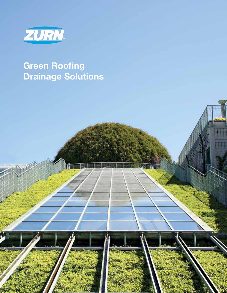

# **Green Roofing Drainage Solutions**



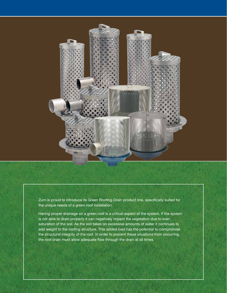

Zurn is proud to introduce its Green Roofing Drain product line, specifically suited for the unique needs of a green roof installation.

Having proper drainage on a green roof is a critical aspect of the system. If the system is not able to drain properly it can negatively impact the vegetation due to oversaturation of the soil. As the soil takes on excessive amounts of water it continues to add weight to the roofing structure. This added load has the potential to compromise the structural integrity of the roof. In order to prevent these situations from occurring, the roof drain must allow adequate flow through the drain at all times.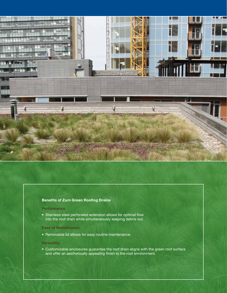

## **Benefits of Zurn Green Roofing Drains**

#### **Performance**

• Stainless steel perforated extension allows for optimal flow into the roof drain while simultaneously keeping debris out.

#### **Ease of Maintenance**

• Removable lid allows for easy routine maintenance.

#### **Versatility**

• Customizable enclosures guarantee the roof drain aligns with the green roof surface and offer an aesthetically appealing finish to the roof environment.

1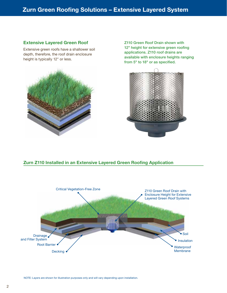# **Zurn Green Roofing Solutions Zurn Green Roofing Solutions – Extensive Layered System**

# **Extensive Layered Green Roof**

Extensive green roofs have a shallower soil depth, therefore, the roof drain enclosure height is typically 12" or less.



Z110 Green Roof Drain shown with 12" height for extensive green roofing applications. Z110 roof drains are available with enclosure heights ranging from 5" to 18" or as specified.



# **Zurn Z110 Installed in an Extensive Layered Green Roofing Application**

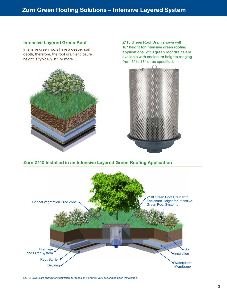# **Zurn Green Roofing Solutions – Intensive Layered System**

## **Intensive Layered Green Roof**

Intensive green roofs have a deeper soil depth, therefore, the roof drain enclosure height is typically 12" or more.



Z110 Green Roof Drain shown with 18" height for intensive green roofing applications. Z110 green roof drains are available with enclosure heights ranging from 5" to 18" or as specified.



# **Zurn Z110 Installed in an Intensive Layered Green Roofing Application**



NOTE: Layers are shown for illustration purposes only and will vary depending upon installation.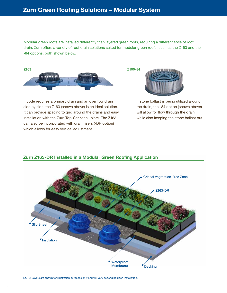Modular green roofs are installed differently than layered green roofs, requiring a different style of roof drain. Zurn offers a variety of roof drain solutions suited for modular green roofs, such as the Z163 and the -84 options, both shown below.

Z100-84



If code requires a primary drain and an overflow drain side by side, the Z163 (shown above) is an ideal solution. It can provide spacing to grid around the drains and easy installation with the Zurn Top-Set™ deck plate. The Z163 can also be incorporated with drain risers (-DR option) which allows for easy vertical adjustment.



If stone ballast is being utilized around the drain, the -84 option (shown above) will allow for flow through the drain while also keeping the stone ballast out.



# **Zurn Z163-DR Installed in a Modular Green Roofing Application**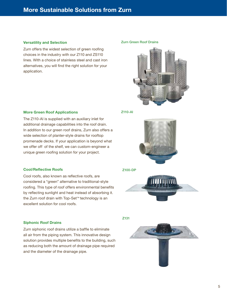# **More Sustainable Solutions from Zurn**

## **Versatility and Selection**

Zurn offers the widest selection of green roofing choices in the industry with our Z110 and ZS110 lines. With a choice of stainless steel and cast iron alternatives, you will find the right solution for your application.

#### Zurn Green Roof Drains



## **More Green Roof Applications**

The Z110-AI is supplied with an auxiliary inlet for additional drainage capabilities into the roof drain. In addition to our green roof drains, Zurn also offers a wide selection of planter-style drains for rooftop promenade decks. If your application is beyond what we offer off of the shelf, we can custom-engineer a unique green roofing solution for your project.

## **Cool/Reflective Roofs**

Cool roofs, also known as reflective roofs, are considered a "green" alternative to traditional-style roofing. This type of roof offers environmental benefits by reflecting sunlight and heat instead of absorbing it. the Zurn roof drain with Top-Set™ technology is an excellent solution for cool roofs.

## **Siphonic Roof Drains**

Zurn siphonic roof drains utilize a baffle to eliminate all air from the piping system. This innovative design solution provides multiple benefits to the building, such as reducing both the amount of drainage pipe required and the diameter of the drainage pipe.

Z110-AI